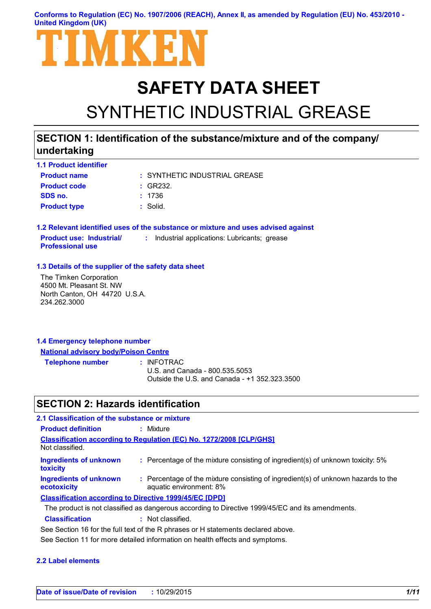**Conforms to Regulation (EC) No. 1907/2006 (REACH), Annex II, as amended by Regulation (EU) No. 453/2010 - United Kingdom (UK)**



# **SAFETY DATA SHEET** SYNTHETIC INDUSTRIAL GREASE

# **SECTION 1: Identification of the substance/mixture and of the company/ undertaking**

| <b>1.1 Product identifier</b> |                               |
|-------------------------------|-------------------------------|
| <b>Product name</b>           | : SYNTHETIC INDUSTRIAL GREASE |
| <b>Product code</b>           | : GR232                       |
| SDS no.                       | : 1736                        |
| <b>Product type</b>           | : Solid.                      |

**1.2 Relevant identified uses of the substance or mixture and uses advised against Product use: Industrial/ Professional use :** Industrial applications: Lubricants; grease

#### **1.3 Details of the supplier of the safety data sheet**

The Timken Corporation 4500 Mt. Pleasant St. NW North Canton, OH 44720 U.S.A. 234.262.3000

| 1.4 Emergency telephone number              |  |
|---------------------------------------------|--|
| <b>National advisory body/Poison Centre</b> |  |

**Telephone number :**

: INFOTRAC

U.S. and Canada - 800.535.5053 Outside the U.S. and Canada - +1 352.323.3500

### **SECTION 2: Hazards identification**

| 2.1 Classification of the substance or mixture                |                                                                                                              |
|---------------------------------------------------------------|--------------------------------------------------------------------------------------------------------------|
| <b>Product definition</b>                                     | : Mixture                                                                                                    |
| Not classified.                                               | <b>Classification according to Regulation (EC) No. 1272/2008 [CLP/GHS]</b>                                   |
| <b>Ingredients of unknown</b><br>toxicity                     | : Percentage of the mixture consisting of ingredient(s) of unknown toxicity: 5%                              |
| <b>Ingredients of unknown</b><br>ecotoxicity                  | : Percentage of the mixture consisting of ingredient(s) of unknown hazards to the<br>aquatic environment: 8% |
| <b>Classification according to Directive 1999/45/EC [DPD]</b> |                                                                                                              |
|                                                               | The product is not classified as dangerous according to Directive 1999/45/EC and its amendments.             |
| <b>Classification</b>                                         | : Not classified.                                                                                            |
|                                                               |                                                                                                              |

See Section 16 for the full text of the R phrases or H statements declared above.

See Section 11 for more detailed information on health effects and symptoms.

### **2.2 Label elements**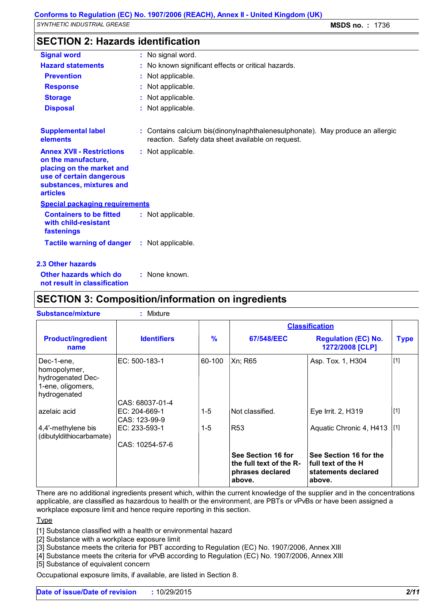### **SECTION 2: Hazards identification**

| <b>Signal word</b>                                                                                                                                              | : No signal word.                                                                                                                  |  |
|-----------------------------------------------------------------------------------------------------------------------------------------------------------------|------------------------------------------------------------------------------------------------------------------------------------|--|
| <b>Hazard statements</b>                                                                                                                                        | : No known significant effects or critical hazards.                                                                                |  |
| <b>Prevention</b>                                                                                                                                               | : Not applicable.                                                                                                                  |  |
| <b>Response</b>                                                                                                                                                 | : Not applicable.                                                                                                                  |  |
| <b>Storage</b>                                                                                                                                                  | : Not applicable.                                                                                                                  |  |
| <b>Disposal</b>                                                                                                                                                 | : Not applicable.                                                                                                                  |  |
| <b>Supplemental label</b><br>elements                                                                                                                           | : Contains calcium bis(dinonylnaphthalenesulphonate). May produce an allergic<br>reaction. Safety data sheet available on request. |  |
| <b>Annex XVII - Restrictions</b><br>on the manufacture,<br>placing on the market and<br>use of certain dangerous<br>substances, mixtures and<br><b>articles</b> | : Not applicable.                                                                                                                  |  |
| <b>Special packaging requirements</b>                                                                                                                           |                                                                                                                                    |  |
| <b>Containers to be fitted</b><br>with child-resistant<br>fastenings                                                                                            | : Not applicable.                                                                                                                  |  |
| <b>Tactile warning of danger</b>                                                                                                                                | : Not applicable.                                                                                                                  |  |
| <b>2.3 Other hazards</b>                                                                                                                                        |                                                                                                                                    |  |

**Other hazards which do : not result in classification** None known.

### **SECTION 3: Composition/information on ingredients**

| <b>Substance/mixture</b>                                                             | Mixture                          |               |                                                                             |                                                                               |             |
|--------------------------------------------------------------------------------------|----------------------------------|---------------|-----------------------------------------------------------------------------|-------------------------------------------------------------------------------|-------------|
|                                                                                      |                                  |               |                                                                             | <b>Classification</b>                                                         |             |
| <b>Product/ingredient</b><br>name                                                    | <b>Identifiers</b>               | $\frac{9}{6}$ | 67/548/EEC                                                                  | <b>Regulation (EC) No.</b><br>1272/2008 [CLP]                                 | <b>Type</b> |
| Dec-1-ene.<br>homopolymer,<br>hydrogenated Dec-<br>1-ene, oligomers,<br>hydrogenated | EC: 500-183-1                    | 60-100        | Xn; R65                                                                     | Asp. Tox. 1, H304                                                             | $[1]$       |
|                                                                                      | CAS: 68037-01-4                  |               |                                                                             |                                                                               |             |
| azelaic acid                                                                         | $EC: 204-669-1$<br>CAS: 123-99-9 | $1 - 5$       | Not classified.                                                             | Eye Irrit. 2, H319                                                            | $\vert$ [1] |
| 4,4'-methylene bis<br>(dibutyldithiocarbamate)                                       | EC: 233-593-1                    | $1 - 5$       | R <sub>53</sub>                                                             | Aquatic Chronic 4, H413                                                       | [1]         |
|                                                                                      | CAS: 10254-57-6                  |               |                                                                             |                                                                               |             |
|                                                                                      |                                  |               | See Section 16 for<br>the full text of the R-<br>phrases declared<br>above. | See Section 16 for the<br>full text of the H<br>statements declared<br>above. |             |

There are no additional ingredients present which, within the current knowledge of the supplier and in the concentrations applicable, are classified as hazardous to health or the environment, are PBTs or vPvBs or have been assigned a workplace exposure limit and hence require reporting in this section.

**Type** 

[1] Substance classified with a health or environmental hazard

[2] Substance with a workplace exposure limit

[3] Substance meets the criteria for PBT according to Regulation (EC) No. 1907/2006, Annex XIII

[4] Substance meets the criteria for vPvB according to Regulation (EC) No. 1907/2006, Annex XIII

[5] Substance of equivalent concern

Occupational exposure limits, if available, are listed in Section 8.

**Date of issue/Date of revision :** 10/29/2015 *2/11*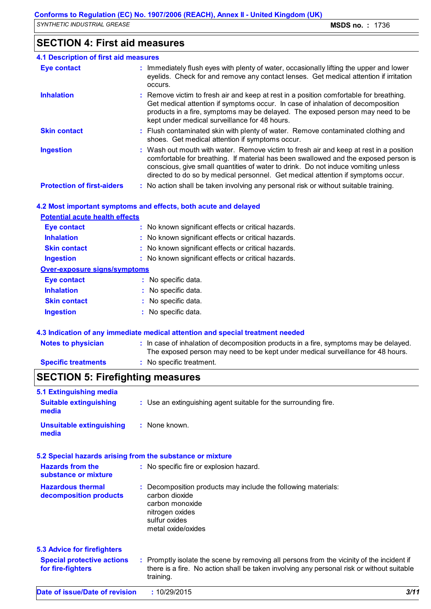# **SECTION 4: First aid measures**

| <b>4.1 Description of first aid measures</b> |                                                                                                                                                                                                                                                                                                                                                        |
|----------------------------------------------|--------------------------------------------------------------------------------------------------------------------------------------------------------------------------------------------------------------------------------------------------------------------------------------------------------------------------------------------------------|
| <b>Eye contact</b>                           | : Immediately flush eyes with plenty of water, occasionally lifting the upper and lower<br>eyelids. Check for and remove any contact lenses. Get medical attention if irritation<br>occurs.                                                                                                                                                            |
| <b>Inhalation</b>                            | : Remove victim to fresh air and keep at rest in a position comfortable for breathing.<br>Get medical attention if symptoms occur. In case of inhalation of decomposition<br>products in a fire, symptoms may be delayed. The exposed person may need to be<br>kept under medical surveillance for 48 hours.                                           |
| <b>Skin contact</b>                          | : Flush contaminated skin with plenty of water. Remove contaminated clothing and<br>shoes. Get medical attention if symptoms occur.                                                                                                                                                                                                                    |
| <b>Ingestion</b>                             | : Wash out mouth with water. Remove victim to fresh air and keep at rest in a position<br>comfortable for breathing. If material has been swallowed and the exposed person is<br>conscious, give small quantities of water to drink. Do not induce vomiting unless<br>directed to do so by medical personnel. Get medical attention if symptoms occur. |
| <b>Protection of first-aiders</b>            | : No action shall be taken involving any personal risk or without suitable training.                                                                                                                                                                                                                                                                   |

### **4.2 Most important symptoms and effects, both acute and delayed**

| <b>Potential acute health effects</b> |                                                     |
|---------------------------------------|-----------------------------------------------------|
| Eye contact                           | : No known significant effects or critical hazards. |
| <b>Inhalation</b>                     | : No known significant effects or critical hazards. |
| <b>Skin contact</b>                   | : No known significant effects or critical hazards. |
| <b>Ingestion</b>                      | : No known significant effects or critical hazards. |
| <b>Over-exposure signs/symptoms</b>   |                                                     |
| Eye contact                           | : No specific data.                                 |
| <b>Inhalation</b>                     | : No specific data.                                 |
| <b>Skin contact</b>                   | : No specific data.                                 |
| <b>Ingestion</b>                      | : No specific data.                                 |
|                                       |                                                     |

### **4.3 Indication of any immediate medical attention and special treatment needed**

| <b>Notes to physician</b>  | In case of inhalation of decomposition products in a fire, symptoms may be delayed.<br>The exposed person may need to be kept under medical surveillance for 48 hours. |
|----------------------------|------------------------------------------------------------------------------------------------------------------------------------------------------------------------|
| <b>Specific treatments</b> | No specific treatment.                                                                                                                                                 |

# **SECTION 5: Firefighting measures**

| 5.1 Extinguishing media                                   |                                                                                                                                                                                                     |      |
|-----------------------------------------------------------|-----------------------------------------------------------------------------------------------------------------------------------------------------------------------------------------------------|------|
| <b>Suitable extinguishing</b><br>media                    | : Use an extinguishing agent suitable for the surrounding fire.                                                                                                                                     |      |
| <b>Unsuitable extinguishing</b><br>media                  | : None known.                                                                                                                                                                                       |      |
| 5.2 Special hazards arising from the substance or mixture |                                                                                                                                                                                                     |      |
| <b>Hazards from the</b><br>substance or mixture           | : No specific fire or explosion hazard.                                                                                                                                                             |      |
| <b>Hazardous thermal</b><br>decomposition products        | Decomposition products may include the following materials:<br>carbon dioxide<br>carbon monoxide<br>nitrogen oxides<br>sulfur oxides<br>metal oxide/oxides                                          |      |
| <b>5.3 Advice for firefighters</b>                        |                                                                                                                                                                                                     |      |
| <b>Special protective actions</b><br>for fire-fighters    | : Promptly isolate the scene by removing all persons from the vicinity of the incident if<br>there is a fire. No action shall be taken involving any personal risk or without suitable<br>training. |      |
| Date of issue/Date of revision                            | :10/29/2015                                                                                                                                                                                         | 3/11 |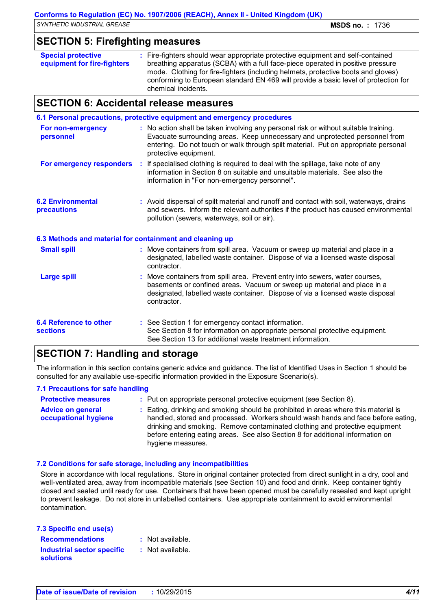# **SECTION 5: Firefighting measures**

| <b>Special protective</b><br>equipment for fire-fighters | : Fire-fighters should wear appropriate protective equipment and self-contained<br>breathing apparatus (SCBA) with a full face-piece operated in positive pressure<br>mode. Clothing for fire-fighters (including helmets, protective boots and gloves)<br>conforming to European standard EN 469 will provide a basic level of protection for |
|----------------------------------------------------------|------------------------------------------------------------------------------------------------------------------------------------------------------------------------------------------------------------------------------------------------------------------------------------------------------------------------------------------------|
|                                                          | chemical incidents.                                                                                                                                                                                                                                                                                                                            |

### **SECTION 6: Accidental release measures**

|                                                          | 6.1 Personal precautions, protective equipment and emergency procedures                                                                                                                                                                                                            |
|----------------------------------------------------------|------------------------------------------------------------------------------------------------------------------------------------------------------------------------------------------------------------------------------------------------------------------------------------|
| For non-emergency<br>personnel                           | : No action shall be taken involving any personal risk or without suitable training.<br>Evacuate surrounding areas. Keep unnecessary and unprotected personnel from<br>entering. Do not touch or walk through spilt material. Put on appropriate personal<br>protective equipment. |
| For emergency responders                                 | : If specialised clothing is required to deal with the spillage, take note of any<br>information in Section 8 on suitable and unsuitable materials. See also the<br>information in "For non-emergency personnel".                                                                  |
| <b>6.2 Environmental</b><br>precautions                  | : Avoid dispersal of spilt material and runoff and contact with soil, waterways, drains<br>and sewers. Inform the relevant authorities if the product has caused environmental<br>pollution (sewers, waterways, soil or air).                                                      |
| 6.3 Methods and material for containment and cleaning up |                                                                                                                                                                                                                                                                                    |
| <b>Small spill</b>                                       | : Move containers from spill area. Vacuum or sweep up material and place in a<br>designated, labelled waste container. Dispose of via a licensed waste disposal<br>contractor.                                                                                                     |
| <b>Large spill</b>                                       | Move containers from spill area. Prevent entry into sewers, water courses,<br>basements or confined areas. Vacuum or sweep up material and place in a<br>designated, labelled waste container. Dispose of via a licensed waste disposal<br>contractor.                             |
| <b>6.4 Reference to other</b><br><b>sections</b>         | : See Section 1 for emergency contact information.<br>See Section 8 for information on appropriate personal protective equipment.<br>See Section 13 for additional waste treatment information.                                                                                    |

# **SECTION 7: Handling and storage**

The information in this section contains generic advice and guidance. The list of Identified Uses in Section 1 should be consulted for any available use-specific information provided in the Exposure Scenario(s).

### **7.1 Precautions for safe handling**

| <b>Protective measures</b>                       | : Put on appropriate personal protective equipment (see Section 8).                                                                                                                                                                                                                                                                                           |
|--------------------------------------------------|---------------------------------------------------------------------------------------------------------------------------------------------------------------------------------------------------------------------------------------------------------------------------------------------------------------------------------------------------------------|
| <b>Advice on general</b><br>occupational hygiene | : Eating, drinking and smoking should be prohibited in areas where this material is<br>handled, stored and processed. Workers should wash hands and face before eating,<br>drinking and smoking. Remove contaminated clothing and protective equipment<br>before entering eating areas. See also Section 8 for additional information on<br>hygiene measures. |

### **7.2 Conditions for safe storage, including any incompatibilities**

Store in accordance with local regulations. Store in original container protected from direct sunlight in a dry, cool and well-ventilated area, away from incompatible materials (see Section 10) and food and drink. Keep container tightly closed and sealed until ready for use. Containers that have been opened must be carefully resealed and kept upright to prevent leakage. Do not store in unlabelled containers. Use appropriate containment to avoid environmental contamination.

| 7.3 Specific end use(s)           |                    |
|-----------------------------------|--------------------|
| <b>Recommendations</b>            | $:$ Not available. |
| <b>Industrial sector specific</b> | : Not available.   |
| <b>solutions</b>                  |                    |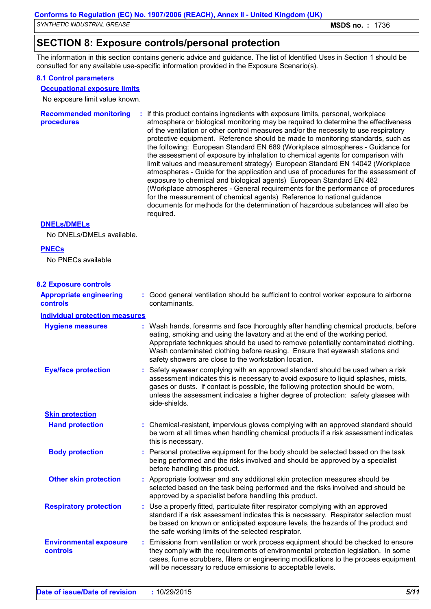*SYNTHETIC INDUSTRIAL GREASE* **MSDS no. :** 1736

# **SECTION 8: Exposure controls/personal protection**

The information in this section contains generic advice and guidance. The list of Identified Uses in Section 1 should be consulted for any available use-specific information provided in the Exposure Scenario(s).

### **8.1 Control parameters**

### **Occupational exposure limits**

No exposure limit value known.

| <b>Recommended monitoring</b><br>procedures | : If this product contains ingredients with exposure limits, personal, workplace<br>atmosphere or biological monitoring may be required to determine the effectiveness<br>of the ventilation or other control measures and/or the necessity to use respiratory<br>protective equipment. Reference should be made to monitoring standards, such as<br>the following: European Standard EN 689 (Workplace atmospheres - Guidance for<br>the assessment of exposure by inhalation to chemical agents for comparison with<br>limit values and measurement strategy) European Standard EN 14042 (Workplace<br>atmospheres - Guide for the application and use of procedures for the assessment of<br>exposure to chemical and biological agents) European Standard EN 482<br>(Workplace atmospheres - General requirements for the performance of procedures<br>for the measurement of chemical agents) Reference to national guidance<br>documents for methods for the determination of hazardous substances will also be<br>required. |
|---------------------------------------------|------------------------------------------------------------------------------------------------------------------------------------------------------------------------------------------------------------------------------------------------------------------------------------------------------------------------------------------------------------------------------------------------------------------------------------------------------------------------------------------------------------------------------------------------------------------------------------------------------------------------------------------------------------------------------------------------------------------------------------------------------------------------------------------------------------------------------------------------------------------------------------------------------------------------------------------------------------------------------------------------------------------------------------|
|---------------------------------------------|------------------------------------------------------------------------------------------------------------------------------------------------------------------------------------------------------------------------------------------------------------------------------------------------------------------------------------------------------------------------------------------------------------------------------------------------------------------------------------------------------------------------------------------------------------------------------------------------------------------------------------------------------------------------------------------------------------------------------------------------------------------------------------------------------------------------------------------------------------------------------------------------------------------------------------------------------------------------------------------------------------------------------------|

### **DNELs/DMELs**

No DNELs/DMELs available.

### **PNECs**

No PNECs available

| <b>8.2 Exposure controls</b>               |   |                                                                                                                                                                                                                                                                                                                                                                                                   |
|--------------------------------------------|---|---------------------------------------------------------------------------------------------------------------------------------------------------------------------------------------------------------------------------------------------------------------------------------------------------------------------------------------------------------------------------------------------------|
| <b>Appropriate engineering</b><br>controls |   | : Good general ventilation should be sufficient to control worker exposure to airborne<br>contaminants.                                                                                                                                                                                                                                                                                           |
| <b>Individual protection measures</b>      |   |                                                                                                                                                                                                                                                                                                                                                                                                   |
| <b>Hygiene measures</b>                    |   | : Wash hands, forearms and face thoroughly after handling chemical products, before<br>eating, smoking and using the lavatory and at the end of the working period.<br>Appropriate techniques should be used to remove potentially contaminated clothing.<br>Wash contaminated clothing before reusing. Ensure that eyewash stations and<br>safety showers are close to the workstation location. |
| <b>Eye/face protection</b>                 |   | : Safety eyewear complying with an approved standard should be used when a risk<br>assessment indicates this is necessary to avoid exposure to liquid splashes, mists,<br>gases or dusts. If contact is possible, the following protection should be worn,<br>unless the assessment indicates a higher degree of protection: safety glasses with<br>side-shields.                                 |
| <b>Skin protection</b>                     |   |                                                                                                                                                                                                                                                                                                                                                                                                   |
| <b>Hand protection</b>                     |   | : Chemical-resistant, impervious gloves complying with an approved standard should<br>be worn at all times when handling chemical products if a risk assessment indicates<br>this is necessary.                                                                                                                                                                                                   |
| <b>Body protection</b>                     |   | : Personal protective equipment for the body should be selected based on the task<br>being performed and the risks involved and should be approved by a specialist<br>before handling this product.                                                                                                                                                                                               |
| <b>Other skin protection</b>               |   | : Appropriate footwear and any additional skin protection measures should be<br>selected based on the task being performed and the risks involved and should be<br>approved by a specialist before handling this product.                                                                                                                                                                         |
| <b>Respiratory protection</b>              |   | : Use a properly fitted, particulate filter respirator complying with an approved<br>standard if a risk assessment indicates this is necessary. Respirator selection must<br>be based on known or anticipated exposure levels, the hazards of the product and<br>the safe working limits of the selected respirator.                                                                              |
| <b>Environmental exposure</b><br>controls  | ÷ | Emissions from ventilation or work process equipment should be checked to ensure<br>they comply with the requirements of environmental protection legislation. In some<br>cases, fume scrubbers, filters or engineering modifications to the process equipment<br>will be necessary to reduce emissions to acceptable levels.                                                                     |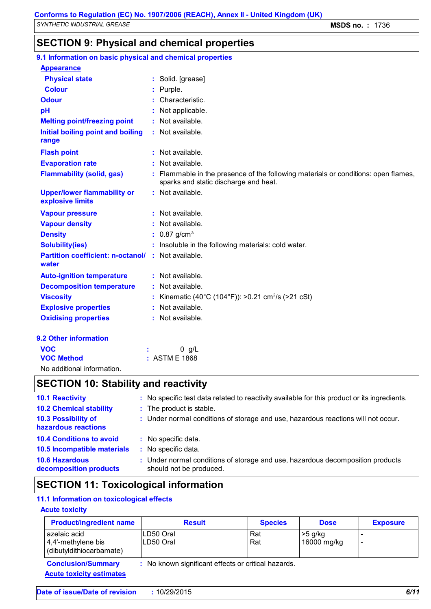# **SECTION 9: Physical and chemical properties**

| 9.1 Information on basic physical and chemical properties          |                                                                                                                           |
|--------------------------------------------------------------------|---------------------------------------------------------------------------------------------------------------------------|
| <b>Appearance</b>                                                  |                                                                                                                           |
| <b>Physical state</b>                                              | : Solid. [grease]                                                                                                         |
| <b>Colour</b>                                                      | Purple.                                                                                                                   |
| <b>Odour</b>                                                       | Characteristic.                                                                                                           |
| pH                                                                 | Not applicable.                                                                                                           |
| <b>Melting point/freezing point</b>                                | : Not available.                                                                                                          |
| Initial boiling point and boiling<br>range                         | : Not available.                                                                                                          |
| <b>Flash point</b>                                                 | : Not available.                                                                                                          |
| <b>Evaporation rate</b>                                            | Not available.                                                                                                            |
| <b>Flammability (solid, gas)</b>                                   | Flammable in the presence of the following materials or conditions: open flames,<br>sparks and static discharge and heat. |
| <b>Upper/lower flammability or</b><br>explosive limits             | : Not available.                                                                                                          |
| <b>Vapour pressure</b>                                             | : Not available.                                                                                                          |
| <b>Vapour density</b>                                              | Not available.                                                                                                            |
| <b>Density</b>                                                     | $0.87$ g/cm <sup>3</sup>                                                                                                  |
| <b>Solubility(ies)</b>                                             | Insoluble in the following materials: cold water.                                                                         |
| <b>Partition coefficient: n-octanol/ : Not available.</b><br>water |                                                                                                                           |
| <b>Auto-ignition temperature</b>                                   | : Not available.                                                                                                          |
| <b>Decomposition temperature</b>                                   | : Not available.                                                                                                          |
| <b>Viscosity</b>                                                   | Kinematic (40°C (104°F)): >0.21 cm <sup>2</sup> /s (>21 cSt)                                                              |
| <b>Explosive properties</b>                                        | Not available.                                                                                                            |
| <b>Oxidising properties</b>                                        | : Not available.                                                                                                          |
| 9.2 Other information                                              |                                                                                                                           |
| <b>VOC</b>                                                         | $0$ g/L                                                                                                                   |
| <b>VOC Method</b>                                                  | : ASTM E 1868                                                                                                             |
| No additional information.                                         |                                                                                                                           |

# **SECTION 10: Stability and reactivity**

| <b>10.1 Reactivity</b>                          | : No specific test data related to reactivity available for this product or its ingredients.              |
|-------------------------------------------------|-----------------------------------------------------------------------------------------------------------|
| <b>10.2 Chemical stability</b>                  | : The product is stable.                                                                                  |
| 10.3 Possibility of<br>hazardous reactions      | : Under normal conditions of storage and use, hazardous reactions will not occur.                         |
| <b>10.4 Conditions to avoid</b>                 | : No specific data.                                                                                       |
| 10.5 Incompatible materials                     | : No specific data.                                                                                       |
| <b>10.6 Hazardous</b><br>decomposition products | : Under normal conditions of storage and use, hazardous decomposition products<br>should not be produced. |

# **SECTION 11: Toxicological information**

### **11.1 Information on toxicological effects**

### **Acute toxicity**

| <b>Product/ingredient name</b>                                 | <b>Result</b>                                       | <b>Species</b> | <b>Dose</b>              | <b>Exposure</b>               |
|----------------------------------------------------------------|-----------------------------------------------------|----------------|--------------------------|-------------------------------|
| azelaic acid<br>4,4'-methylene bis<br>(dibutyldithiocarbamate) | LD50 Oral<br>LD50 Oral                              | Rat<br>Rat     | $>5$ g/kg<br>16000 mg/kg | $\overline{\phantom{0}}$<br>- |
| <b>Conclusion/Summary</b><br><b>Acute toxicity estimates</b>   | : No known significant effects or critical hazards. |                |                          |                               |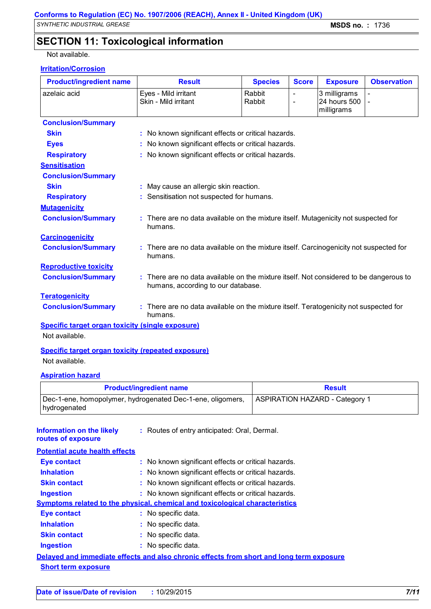# **SECTION 11: Toxicological information**

Not available.

### **Irritation/Corrosion**

| <b>Product/ingredient name</b> | <b>Result</b>                                                                                                              | <b>Species</b>                                      | <b>Score</b> | <b>Exposure</b> | <b>Observation</b> |  |  |  |
|--------------------------------|----------------------------------------------------------------------------------------------------------------------------|-----------------------------------------------------|--------------|-----------------|--------------------|--|--|--|
| azelaic acid                   | Eyes - Mild irritant                                                                                                       | Rabbit                                              | L,           | 3 milligrams    |                    |  |  |  |
|                                | Skin - Mild irritant                                                                                                       | Rabbit                                              |              | 24 hours 500    |                    |  |  |  |
|                                |                                                                                                                            |                                                     |              | milligrams      |                    |  |  |  |
| <b>Conclusion/Summary</b>      |                                                                                                                            |                                                     |              |                 |                    |  |  |  |
| <b>Skin</b>                    | : No known significant effects or critical hazards.                                                                        |                                                     |              |                 |                    |  |  |  |
| <b>Eyes</b>                    |                                                                                                                            | : No known significant effects or critical hazards. |              |                 |                    |  |  |  |
| <b>Respiratory</b>             | : No known significant effects or critical hazards.                                                                        |                                                     |              |                 |                    |  |  |  |
| <b>Sensitisation</b>           |                                                                                                                            |                                                     |              |                 |                    |  |  |  |
| <b>Conclusion/Summary</b>      |                                                                                                                            |                                                     |              |                 |                    |  |  |  |
| <b>Skin</b>                    | : May cause an allergic skin reaction.                                                                                     |                                                     |              |                 |                    |  |  |  |
| <b>Respiratory</b>             | : Sensitisation not suspected for humans.                                                                                  |                                                     |              |                 |                    |  |  |  |
| <b>Mutagenicity</b>            |                                                                                                                            |                                                     |              |                 |                    |  |  |  |
| <b>Conclusion/Summary</b>      | : There are no data available on the mixture itself. Mutagenicity not suspected for<br>humans.                             |                                                     |              |                 |                    |  |  |  |
| <b>Carcinogenicity</b>         |                                                                                                                            |                                                     |              |                 |                    |  |  |  |
| <b>Conclusion/Summary</b>      | There are no data available on the mixture itself. Carcinogenicity not suspected for<br>humans.                            |                                                     |              |                 |                    |  |  |  |
| <b>Reproductive toxicity</b>   |                                                                                                                            |                                                     |              |                 |                    |  |  |  |
| <b>Conclusion/Summary</b>      | There are no data available on the mixture itself. Not considered to be dangerous to<br>humans, according to our database. |                                                     |              |                 |                    |  |  |  |
| <b>Teratogenicity</b>          |                                                                                                                            |                                                     |              |                 |                    |  |  |  |
| <b>Conclusion/Summary</b>      | There are no data available on the mixture itself. Teratogenicity not suspected for<br>humans.                             |                                                     |              |                 |                    |  |  |  |

**Specific target organ toxicity (single exposure)** Not available.

### **Specific target organ toxicity (repeated exposure)** Not available.

### **Aspiration hazard**

| <b>Product/ingredient name</b>                                             | <b>Result</b>                         |
|----------------------------------------------------------------------------|---------------------------------------|
| Dec-1-ene, homopolymer, hydrogenated Dec-1-ene, oligomers,<br>hydrogenated | <b>ASPIRATION HAZARD - Category 1</b> |

| Information on the likely<br>routes of exposure | : Routes of entry anticipated: Oral, Dermal.                                             |
|-------------------------------------------------|------------------------------------------------------------------------------------------|
| <b>Potential acute health effects</b>           |                                                                                          |
| <b>Eye contact</b>                              | : No known significant effects or critical hazards.                                      |
| <b>Inhalation</b>                               | : No known significant effects or critical hazards.                                      |
| <b>Skin contact</b>                             | : No known significant effects or critical hazards.                                      |
| <b>Ingestion</b>                                | : No known significant effects or critical hazards.                                      |
|                                                 | <b>Symptoms related to the physical, chemical and toxicological characteristics</b>      |
| <b>Eye contact</b>                              | : No specific data.                                                                      |
| <b>Inhalation</b>                               | : No specific data.                                                                      |
| <b>Skin contact</b>                             | : No specific data.                                                                      |
| <b>Ingestion</b>                                | : No specific data.                                                                      |
|                                                 | Delayed and immediate effects and also chronic effects from short and long term exposure |
| <b>Short term exposure</b>                      |                                                                                          |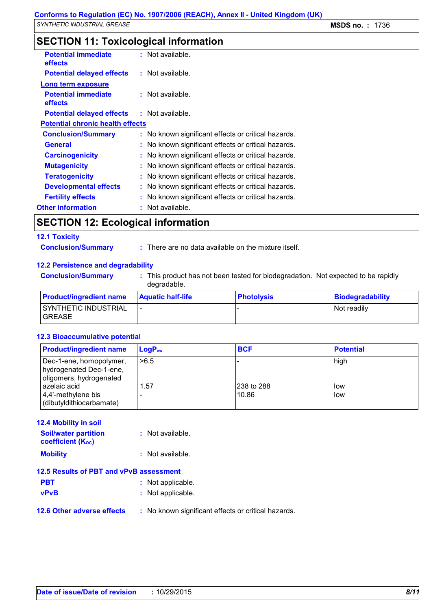# **SECTION 11: Toxicological information**

| <b>Potential immediate</b><br><b>effects</b> |    | : Not available.                                    |
|----------------------------------------------|----|-----------------------------------------------------|
| <b>Potential delayed effects</b>             |    | $:$ Not available.                                  |
| Long term exposure                           |    |                                                     |
| <b>Potential immediate</b><br><b>effects</b> |    | $:$ Not available.                                  |
| <b>Potential delayed effects</b>             |    | $:$ Not available.                                  |
| <b>Potential chronic health effects</b>      |    |                                                     |
| <b>Conclusion/Summary</b>                    |    | : No known significant effects or critical hazards. |
| <b>General</b>                               |    | : No known significant effects or critical hazards. |
| <b>Carcinogenicity</b>                       |    | : No known significant effects or critical hazards. |
| <b>Mutagenicity</b>                          |    | : No known significant effects or critical hazards. |
| <b>Teratogenicity</b>                        |    | : No known significant effects or critical hazards. |
| <b>Developmental effects</b>                 |    | : No known significant effects or critical hazards. |
| <b>Fertility effects</b>                     |    | : No known significant effects or critical hazards. |
| <b>Other information</b>                     | t. | Not available.                                      |

### **SECTION 12: Ecological information**

#### **12.1 Toxicity**

**Conclusion/Summary :** There are no data available on the mixture itself.

### **12.2 Persistence and degradability**

**Conclusion/Summary :** This product has not been tested for biodegradation. Not expected to be rapidly degradable.

| <b>Product/ingredient name</b>         | <b>Aquatic half-life</b> | <b>Photolysis</b> | Biodegradability |
|----------------------------------------|--------------------------|-------------------|------------------|
| SYNTHETIC INDUSTRIAL<br><b>IGREASE</b> |                          |                   | Not readily      |

### **12.3 Bioaccumulative potential**

| <b>Product/ingredient name</b>                                                | $LogP_{ow}$ | <b>BCF</b>          | <b>Potential</b> |
|-------------------------------------------------------------------------------|-------------|---------------------|------------------|
| Dec-1-ene, homopolymer,<br>hydrogenated Dec-1-ene,<br>oligomers, hydrogenated | >6.5        |                     | high             |
| azelaic acid<br>4,4'-methylene bis<br>(dibutyldithiocarbamate)                | .57         | 238 to 288<br>10.86 | low<br>low       |

## **12.4 Mobility in soil Soil/water partition coefficient (KOC)**

**:** Not available.

| <b>Mobility</b> | : Not available. |
|-----------------|------------------|
|                 |                  |

### **12.5 Results of PBT and vPvB assessment**

- **PBT :** Not applicable.
- **vPvB :** Not applicable.
- **12.6 Other adverse effects** : No known significant effects or critical hazards.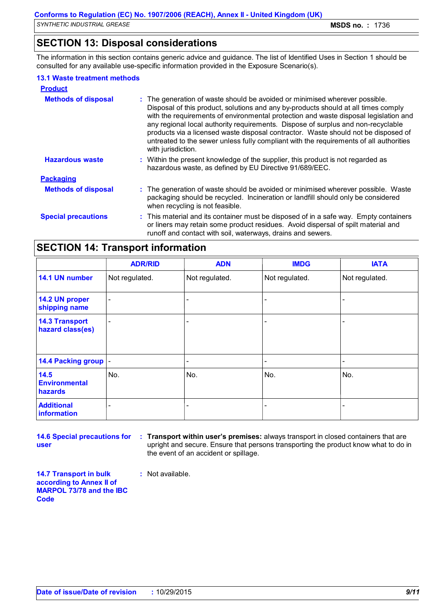# **SECTION 13: Disposal considerations**

The information in this section contains generic advice and guidance. The list of Identified Uses in Section 1 should be consulted for any available use-specific information provided in the Exposure Scenario(s).

### **13.1 Waste treatment methods**

| <b>Product</b>             |                                                                                                                                                                                                                                                                                                                                                                                                                                                                                                                                                     |
|----------------------------|-----------------------------------------------------------------------------------------------------------------------------------------------------------------------------------------------------------------------------------------------------------------------------------------------------------------------------------------------------------------------------------------------------------------------------------------------------------------------------------------------------------------------------------------------------|
| <b>Methods of disposal</b> | : The generation of waste should be avoided or minimised wherever possible.<br>Disposal of this product, solutions and any by-products should at all times comply<br>with the requirements of environmental protection and waste disposal legislation and<br>any regional local authority requirements. Dispose of surplus and non-recyclable<br>products via a licensed waste disposal contractor. Waste should not be disposed of<br>untreated to the sewer unless fully compliant with the requirements of all authorities<br>with jurisdiction. |
| <b>Hazardous waste</b>     | : Within the present knowledge of the supplier, this product is not regarded as<br>hazardous waste, as defined by EU Directive 91/689/EEC.                                                                                                                                                                                                                                                                                                                                                                                                          |
| <b>Packaging</b>           |                                                                                                                                                                                                                                                                                                                                                                                                                                                                                                                                                     |
| <b>Methods of disposal</b> | : The generation of waste should be avoided or minimised wherever possible. Waste<br>packaging should be recycled. Incineration or landfill should only be considered<br>when recycling is not feasible.                                                                                                                                                                                                                                                                                                                                            |
| <b>Special precautions</b> | : This material and its container must be disposed of in a safe way. Empty containers<br>or liners may retain some product residues. Avoid dispersal of spilt material and<br>runoff and contact with soil, waterways, drains and sewers.                                                                                                                                                                                                                                                                                                           |

# **SECTION 14: Transport information**

|                                           | <b>ADR/RID</b>           | <b>ADN</b>     | <b>IMDG</b>    | <b>IATA</b>    |
|-------------------------------------------|--------------------------|----------------|----------------|----------------|
| 14.1 UN number                            | Not regulated.           | Not regulated. | Not regulated. | Not regulated. |
| 14.2 UN proper<br>shipping name           | $\overline{\phantom{a}}$ |                |                |                |
| <b>14.3 Transport</b><br>hazard class(es) | $\overline{\phantom{a}}$ |                |                |                |
| 14.4 Packing group  -                     |                          |                |                |                |
| 14.5<br><b>Environmental</b><br>hazards   | No.                      | No.            | No.            | No.            |
| <b>Additional</b><br>information          |                          |                |                |                |

**14.6 Special precautions for user**

**Transport within user's premises:** always transport in closed containers that are **:** upright and secure. Ensure that persons transporting the product know what to do in the event of an accident or spillage.

**14.7 Transport in bulk according to Annex II of MARPOL 73/78 and the IBC Code**

**:** Not available.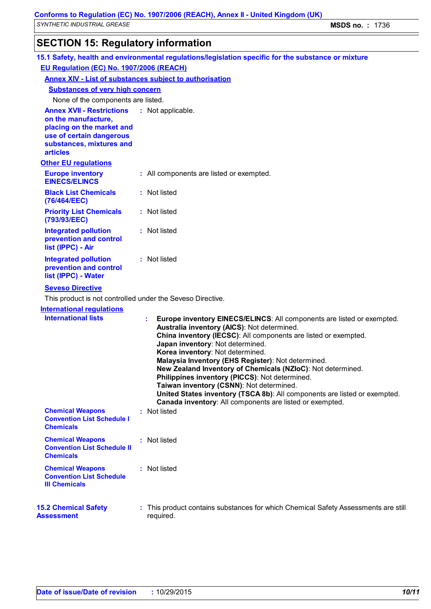# **SECTION 15: Regulatory information**

| 15.1 Safety, health and environmental regulations/legislation specific for the substance or mixture                                                             |  |                                                                                                                                                                                                                                                                                                                                                                                                                                                                                                                                                                                                                                     |
|-----------------------------------------------------------------------------------------------------------------------------------------------------------------|--|-------------------------------------------------------------------------------------------------------------------------------------------------------------------------------------------------------------------------------------------------------------------------------------------------------------------------------------------------------------------------------------------------------------------------------------------------------------------------------------------------------------------------------------------------------------------------------------------------------------------------------------|
| EU Regulation (EC) No. 1907/2006 (REACH)                                                                                                                        |  |                                                                                                                                                                                                                                                                                                                                                                                                                                                                                                                                                                                                                                     |
| <b>Annex XIV - List of substances subject to authorisation</b>                                                                                                  |  |                                                                                                                                                                                                                                                                                                                                                                                                                                                                                                                                                                                                                                     |
| <b>Substances of very high concern</b>                                                                                                                          |  |                                                                                                                                                                                                                                                                                                                                                                                                                                                                                                                                                                                                                                     |
| None of the components are listed.                                                                                                                              |  |                                                                                                                                                                                                                                                                                                                                                                                                                                                                                                                                                                                                                                     |
| <b>Annex XVII - Restrictions</b><br>on the manufacture,<br>placing on the market and<br>use of certain dangerous<br>substances, mixtures and<br><b>articles</b> |  | : Not applicable.                                                                                                                                                                                                                                                                                                                                                                                                                                                                                                                                                                                                                   |
| <b>Other EU regulations</b>                                                                                                                                     |  |                                                                                                                                                                                                                                                                                                                                                                                                                                                                                                                                                                                                                                     |
| <b>Europe inventory</b><br><b>EINECS/ELINCS</b>                                                                                                                 |  | : All components are listed or exempted.                                                                                                                                                                                                                                                                                                                                                                                                                                                                                                                                                                                            |
| <b>Black List Chemicals</b><br>(76/464/EEC)                                                                                                                     |  | : Not listed                                                                                                                                                                                                                                                                                                                                                                                                                                                                                                                                                                                                                        |
| <b>Priority List Chemicals</b><br>(793/93/EEC)                                                                                                                  |  | : Not listed                                                                                                                                                                                                                                                                                                                                                                                                                                                                                                                                                                                                                        |
| <b>Integrated pollution</b><br>prevention and control<br>list (IPPC) - Air                                                                                      |  | : Not listed                                                                                                                                                                                                                                                                                                                                                                                                                                                                                                                                                                                                                        |
| <b>Integrated pollution</b><br>prevention and control<br>list (IPPC) - Water                                                                                    |  | : Not listed                                                                                                                                                                                                                                                                                                                                                                                                                                                                                                                                                                                                                        |
| <b>Seveso Directive</b>                                                                                                                                         |  |                                                                                                                                                                                                                                                                                                                                                                                                                                                                                                                                                                                                                                     |
| This product is not controlled under the Seveso Directive.                                                                                                      |  |                                                                                                                                                                                                                                                                                                                                                                                                                                                                                                                                                                                                                                     |
| <b>International regulations</b>                                                                                                                                |  |                                                                                                                                                                                                                                                                                                                                                                                                                                                                                                                                                                                                                                     |
| <b>International lists</b>                                                                                                                                      |  | Europe inventory EINECS/ELINCS: All components are listed or exempted.<br>Australia inventory (AICS): Not determined.<br>China inventory (IECSC): All components are listed or exempted.<br>Japan inventory: Not determined.<br>Korea inventory: Not determined.<br>Malaysia Inventory (EHS Register): Not determined.<br>New Zealand Inventory of Chemicals (NZIoC): Not determined.<br><b>Philippines inventory (PICCS): Not determined.</b><br>Taiwan inventory (CSNN): Not determined.<br>United States inventory (TSCA 8b): All components are listed or exempted.<br>Canada inventory: All components are listed or exempted. |
| <b>Chemical Weapons</b><br><b>Convention List Schedule I</b><br><b>Chemicals</b>                                                                                |  | : Not listed                                                                                                                                                                                                                                                                                                                                                                                                                                                                                                                                                                                                                        |
| <b>Chemical Weapons</b><br><b>Convention List Schedule II</b><br><b>Chemicals</b>                                                                               |  | : Not listed                                                                                                                                                                                                                                                                                                                                                                                                                                                                                                                                                                                                                        |
| <b>Chemical Weapons</b><br><b>Convention List Schedule</b><br><b>III Chemicals</b>                                                                              |  | : Not listed                                                                                                                                                                                                                                                                                                                                                                                                                                                                                                                                                                                                                        |
| <b>15.2 Chemical Safety</b><br><b>Assessment</b>                                                                                                                |  | : This product contains substances for which Chemical Safety Assessments are still<br>required.                                                                                                                                                                                                                                                                                                                                                                                                                                                                                                                                     |